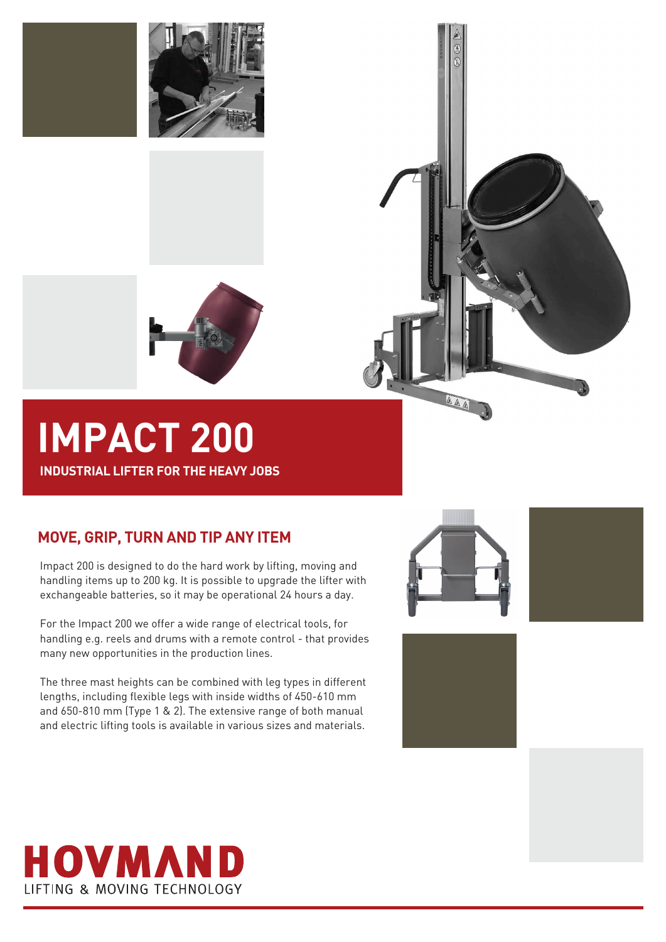



# **IMPACT 200**

**INDUSTRIAL LIFTER FOR THE HEAVY JOBS**

## **MOVE, GRIP, TURN AND TIP ANY ITEM**

Impact 200 is designed to do the hard work by lifting, moving and handling items up to 200 kg. It is possible to upgrade the lifter with exchangeable batteries, so it may be operational 24 hours a day.

For the Impact 200 we offer a wide range of electrical tools, for handling e.g. reels and drums with a remote control - that provides many new opportunities in the production lines.

The three mast heights can be combined with leg types in different lengths, including flexible legs with inside widths of 450-610 mm and 650-810 mm (Type 1 & 2). The extensive range of both manual and electric lifting tools is available in various sizes and materials.



AAA